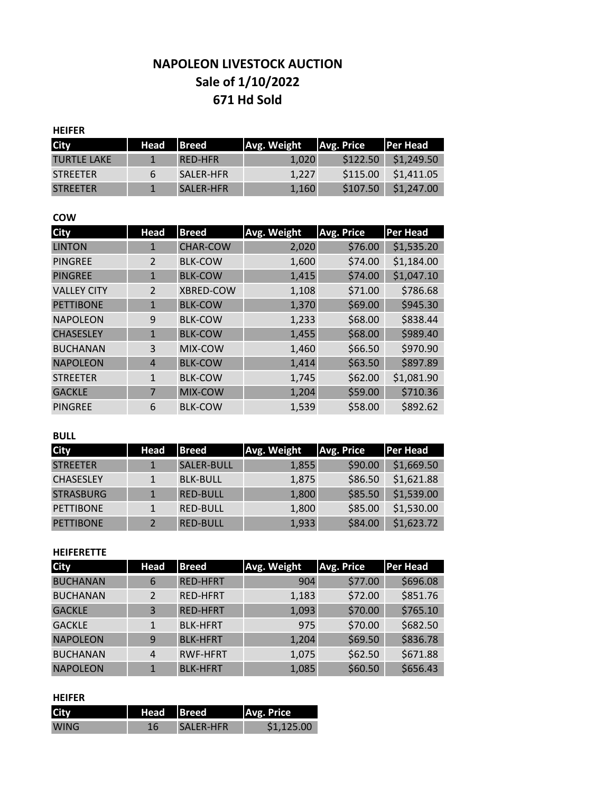# **671 Hd Sold Sale of 1/10/2022 NAPOLEON LIVESTOCK AUCTION**

## **HEIFER**

| <b>City</b>     | Head | <b>IBreed</b>    | Avg. Weight | Avg. Price | <b>IPer Head</b> |
|-----------------|------|------------------|-------------|------------|------------------|
| TURTLE LAKE     |      | <b>RED-HER</b>   | 1.020       | \$122.50   | \$1,249.50       |
| <b>STREETER</b> | 6    | SALER-HER        | 1.227       | \$115.00   | \$1,411.05       |
| <b>STREETER</b> |      | <b>SALER-HER</b> | 1.160       | \$107.50   | \$1,247.00       |

#### **COW**

| <b>City</b>        | Head           | <b>Breed</b>     | Avg. Weight | <b>Avg. Price</b> | <b>Per Head</b> |
|--------------------|----------------|------------------|-------------|-------------------|-----------------|
| <b>LINTON</b>      | 1              | <b>CHAR-COW</b>  | 2,020       | \$76.00           | \$1,535.20      |
| <b>PINGREE</b>     | $\mathfrak{p}$ | <b>BLK-COW</b>   | 1,600       | \$74.00           | \$1,184.00      |
| <b>PINGREE</b>     | 1              | <b>BLK-COW</b>   | 1,415       | \$74.00           | \$1,047.10      |
| <b>VALLEY CITY</b> | $\overline{2}$ | <b>XBRED-COW</b> | 1,108       | \$71.00           | \$786.68        |
| <b>PETTIBONE</b>   | $\mathbf{1}$   | <b>BLK-COW</b>   | 1,370       | \$69.00           | \$945.30        |
| <b>NAPOLEON</b>    | 9              | <b>BLK-COW</b>   | 1,233       | \$68.00           | \$838.44        |
| <b>CHASESLEY</b>   | $\mathbf{1}$   | <b>BLK-COW</b>   | 1,455       | \$68.00           | \$989.40        |
| <b>BUCHANAN</b>    | 3              | MIX-COW          | 1,460       | \$66.50           | \$970.90        |
| <b>NAPOLEON</b>    | 4              | <b>BLK-COW</b>   | 1,414       | \$63.50           | \$897.89        |
| <b>STREETER</b>    | $\mathbf{1}$   | <b>BLK-COW</b>   | 1,745       | \$62.00           | \$1,081.90      |
| <b>GACKLE</b>      | 7              | MIX-COW          | 1,204       | \$59.00           | \$710.36        |
| <b>PINGREE</b>     | 6              | <b>BLK-COW</b>   | 1,539       | \$58.00           | \$892.62        |

#### **BULL**

| <b>City</b>      | Head         | <b>Breed</b>    | Avg. Weight | Avg. Price | <b>Per Head</b> |
|------------------|--------------|-----------------|-------------|------------|-----------------|
| <b>STREETER</b>  |              | SALER-BULL      | 1,855       | \$90.00    | \$1,669.50      |
| <b>CHASESLEY</b> | $\mathbf{1}$ | <b>BLK-BULL</b> | 1,875       | \$86.50    | \$1,621.88      |
| <b>STRASBURG</b> |              | <b>RED-BULL</b> | 1,800       | \$85.50    | \$1,539.00      |
| <b>PETTIBONE</b> |              | <b>RED-BULL</b> | 1,800       | \$85.00    | \$1,530.00      |
| <b>PETTIBONE</b> |              | <b>RED-BULL</b> | 1,933       | \$84.00    | \$1,623.72      |

## **HEIFERETTE**

| <b>City</b>     | <b>Head</b>  | <b>Breed</b>    | Avg. Weight | Avg. Price | <b>Per Head</b> |
|-----------------|--------------|-----------------|-------------|------------|-----------------|
| <b>BUCHANAN</b> | 6            | <b>RED-HFRT</b> | 904         | \$77.00    | \$696.08        |
| <b>BUCHANAN</b> |              | <b>RED-HFRT</b> | 1,183       | \$72.00    | \$851.76        |
| <b>GACKLE</b>   | 3            | <b>RED-HFRT</b> | 1,093       | \$70.00    | \$765.10        |
| <b>GACKLE</b>   | $\mathbf{1}$ | <b>BLK-HFRT</b> | 975         | \$70.00    | \$682.50        |
| <b>NAPOLEON</b> | 9            | <b>BLK-HFRT</b> | 1,204       | \$69.50    | \$836.78        |
| <b>BUCHANAN</b> | 4            | <b>RWF-HFRT</b> | 1,075       | \$62.50    | \$671.88        |
| <b>NAPOLEON</b> |              | <b>BLK-HFRT</b> | 1,085       | \$60.50    | \$656.43        |

#### **HEIFER**

| City        | Head | <b>Breed</b>     | Avg. Price |
|-------------|------|------------------|------------|
| <b>WING</b> | 16.  | <b>SALER-HFR</b> | \$1.125.00 |